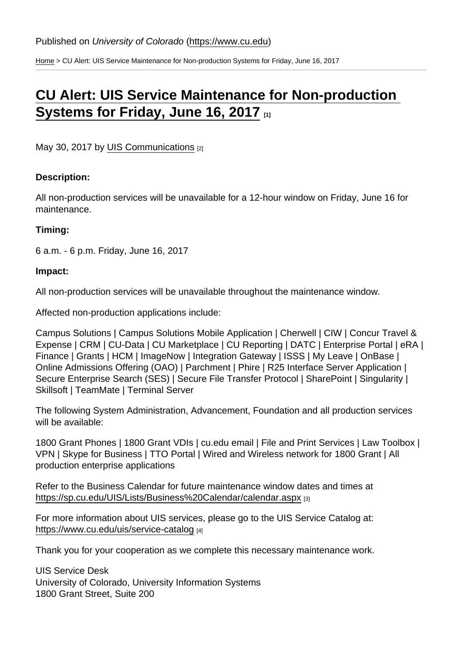[Home](https://www.cu.edu/) > CU Alert: UIS Service Maintenance for Non-production Systems for Friday, June 16, 2017

## [CU Alert: UIS Service Maintenance for Non-production](https://www.cu.edu/blog/maintenance-matters/cu-alert-uis-service-maintenance-non-production-systems-friday-june-16-2017)  [Systems for Friday, June 16, 2017](https://www.cu.edu/blog/maintenance-matters/cu-alert-uis-service-maintenance-non-production-systems-friday-june-16-2017) [1]

May 30, 2017 by [UIS Communications](https://www.cu.edu/blog/maintenance-matters/author/223) [2]

Description:

All non-production services will be unavailable for a 12-hour window on Friday, June 16 for maintenance.

Timing:

6 a.m. - 6 p.m. Friday, June 16, 2017

Impact:

All non-production services will be unavailable throughout the maintenance window.

Affected non-production applications include:

Campus Solutions | Campus Solutions Mobile Application | Cherwell | CIW | Concur Travel & Expense | CRM | CU-Data | CU Marketplace | CU Reporting | DATC | Enterprise Portal | eRA | Finance | Grants | HCM | ImageNow | Integration Gateway | ISSS | My Leave | OnBase | Online Admissions Offering (OAO) | Parchment | Phire | R25 Interface Server Application | Secure Enterprise Search (SES) | Secure File Transfer Protocol | SharePoint | Singularity | Skillsoft | TeamMate | Terminal Server

The following System Administration, Advancement, Foundation and all production services will be available:

1800 Grant Phones | 1800 Grant VDIs | cu.edu email | File and Print Services | Law Toolbox | VPN | Skype for Business | TTO Portal | Wired and Wireless network for 1800 Grant | All production enterprise applications

Refer to the Business Calendar for future maintenance window dates and times at [https://sp.cu.edu/UIS/Lists/Business%20Calendar/calendar.aspx](https://sp.cu.edu/UIS/Lists/Business Calendar/calendar.aspx) [3]

For more information about UIS services, please go to the UIS Service Catalog at: <https://www.cu.edu/uis/service-catalog> [4]

Thank you for your cooperation as we complete this necessary maintenance work.

UIS Service Desk University of Colorado, University Information Systems 1800 Grant Street, Suite 200